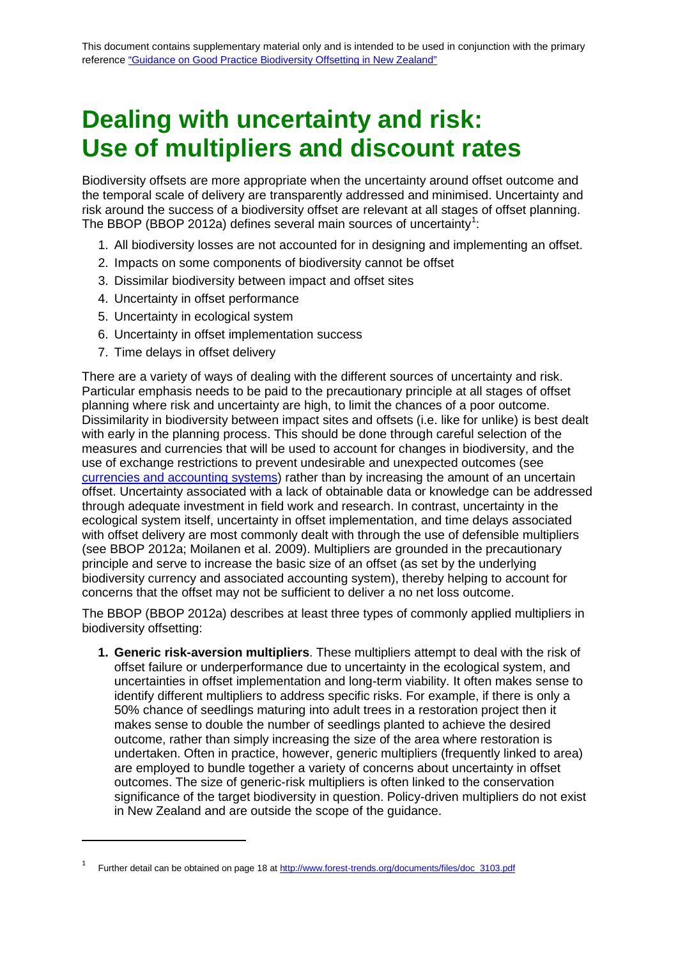## <span id="page-0-0"></span>**Dealing with uncertainty and risk: Use of multipliers and discount rates**

Biodiversity offsets are more appropriate when the uncertainty around offset outcome and the temporal scale of delivery are transparently addressed and minimised. Uncertainty and risk around the success of a biodiversity offset are relevant at all stages of offset planning. The BBOP (BBOP 20[1](#page-0-0)2a) defines several main sources of uncertainty<sup>1</sup>:

- 1. All biodiversity losses are not accounted for in designing and implementing an offset.
- 2. Impacts on some components of biodiversity cannot be offset
- 3. Dissimilar biodiversity between impact and offset sites
- 4. Uncertainty in offset performance
- 5. Uncertainty in ecological system
- 6. Uncertainty in offset implementation success
- 7. Time delays in offset delivery

**.** 

There are a variety of ways of dealing with the different sources of uncertainty and risk. Particular emphasis needs to be paid to the precautionary principle at all stages of offset planning where risk and uncertainty are high, to limit the chances of a poor outcome. Dissimilarity in biodiversity between impact sites and offsets (i.e. like for unlike) is best dealt with early in the planning process. This should be done through careful selection of the measures and currencies that will be used to account for changes in biodiversity, and the use of exchange restrictions to prevent undesirable and unexpected outcomes (see [currencies and accounting systems\)](http://www.doc.govt.nz/documents/our-work/biodiversity-offsets/currency-and-accounting-systems.pdf) rather than by increasing the amount of an uncertain offset. Uncertainty associated with a lack of obtainable data or knowledge can be addressed through adequate investment in field work and research. In contrast, uncertainty in the ecological system itself, uncertainty in offset implementation, and time delays associated with offset delivery are most commonly dealt with through the use of defensible multipliers (see BBOP 2012a; Moilanen et al. 2009). Multipliers are grounded in the precautionary principle and serve to increase the basic size of an offset (as set by the underlying biodiversity currency and associated accounting system), thereby helping to account for concerns that the offset may not be sufficient to deliver a no net loss outcome.

The BBOP (BBOP 2012a) describes at least three types of commonly applied multipliers in biodiversity offsetting:

**1. Generic risk-aversion multipliers**. These multipliers attempt to deal with the risk of offset failure or underperformance due to uncertainty in the ecological system, and uncertainties in offset implementation and long-term viability. It often makes sense to identify different multipliers to address specific risks. For example, if there is only a 50% chance of seedlings maturing into adult trees in a restoration project then it makes sense to double the number of seedlings planted to achieve the desired outcome, rather than simply increasing the size of the area where restoration is undertaken. Often in practice, however, generic multipliers (frequently linked to area) are employed to bundle together a variety of concerns about uncertainty in offset outcomes. The size of generic-risk multipliers is often linked to the conservation significance of the target biodiversity in question. Policy-driven multipliers do not exist in New Zealand and are outside the scope of the guidance.

Further detail can be obtained on page 18 at [http://www.forest-trends.org/documents/files/doc\\_3103.pdf](http://www.forest-trends.org/documents/files/doc_3103.pdf)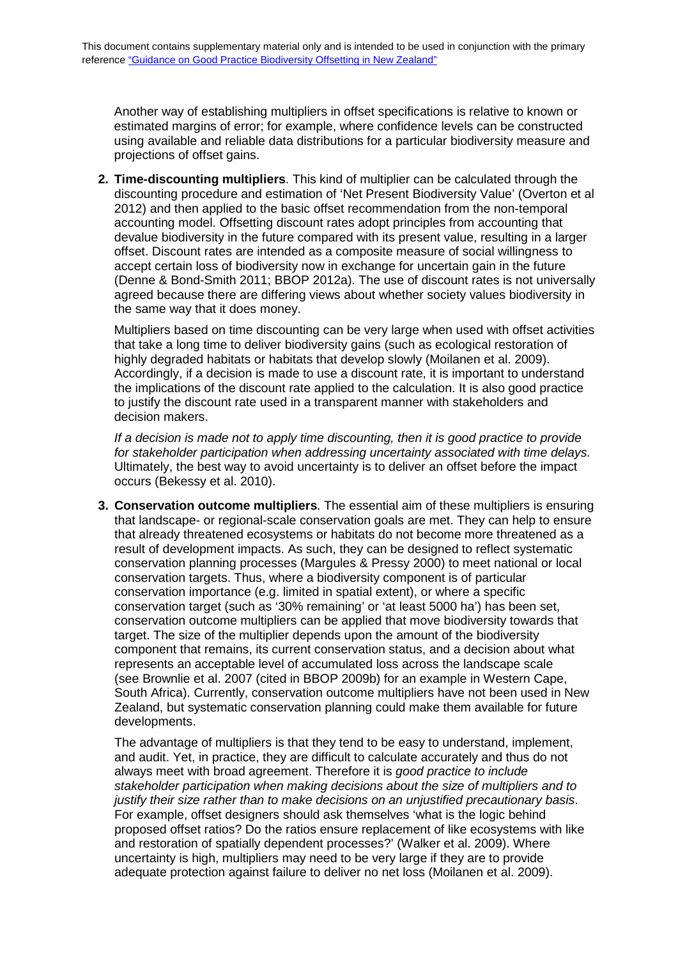Another way of establishing multipliers in offset specifications is relative to known or estimated margins of error; for example, where confidence levels can be constructed using available and reliable data distributions for a particular biodiversity measure and projections of offset gains.

**2. Time-discounting multipliers**. This kind of multiplier can be calculated through the discounting procedure and estimation of 'Net Present Biodiversity Value' (Overton et al 2012) and then applied to the basic offset recommendation from the non-temporal accounting model. Offsetting discount rates adopt principles from accounting that devalue biodiversity in the future compared with its present value, resulting in a larger offset. Discount rates are intended as a composite measure of social willingness to accept certain loss of biodiversity now in exchange for uncertain gain in the future (Denne & Bond-Smith 2011; BBOP 2012a). The use of discount rates is not universally agreed because there are differing views about whether society values biodiversity in the same way that it does money.

Multipliers based on time discounting can be very large when used with offset activities that take a long time to deliver biodiversity gains (such as ecological restoration of highly degraded habitats or habitats that develop slowly (Moilanen et al. 2009). Accordingly, if a decision is made to use a discount rate, it is important to understand the implications of the discount rate applied to the calculation. It is also good practice to justify the discount rate used in a transparent manner with stakeholders and decision makers.

*If a decision is made not to apply time discounting, then it is good practice to provide for stakeholder participation when addressing uncertainty associated with time delays.* Ultimately, the best way to avoid uncertainty is to deliver an offset before the impact occurs (Bekessy et al. 2010).

**3. Conservation outcome multipliers**. The essential aim of these multipliers is ensuring that landscape- or regional-scale conservation goals are met. They can help to ensure that already threatened ecosystems or habitats do not become more threatened as a result of development impacts. As such, they can be designed to reflect systematic conservation planning processes (Margules & Pressy 2000) to meet national or local conservation targets. Thus, where a biodiversity component is of particular conservation importance (e.g. limited in spatial extent), or where a specific conservation target (such as '30% remaining' or 'at least 5000 ha') has been set, conservation outcome multipliers can be applied that move biodiversity towards that target. The size of the multiplier depends upon the amount of the biodiversity component that remains, its current conservation status, and a decision about what represents an acceptable level of accumulated loss across the landscape scale (see Brownlie et al. 2007 (cited in BBOP 2009b) for an example in Western Cape, South Africa). Currently, conservation outcome multipliers have not been used in New Zealand, but systematic conservation planning could make them available for future developments.

The advantage of multipliers is that they tend to be easy to understand, implement, and audit. Yet, in practice, they are difficult to calculate accurately and thus do not always meet with broad agreement. Therefore it is *good practice to include stakeholder participation when making decisions about the size of multipliers and to justify their size rather than to make decisions on an unjustified precautionary basis*. For example, offset designers should ask themselves 'what is the logic behind proposed offset ratios? Do the ratios ensure replacement of like ecosystems with like and restoration of spatially dependent processes?' (Walker et al. 2009). Where uncertainty is high, multipliers may need to be very large if they are to provide adequate protection against failure to deliver no net loss (Moilanen et al. 2009).